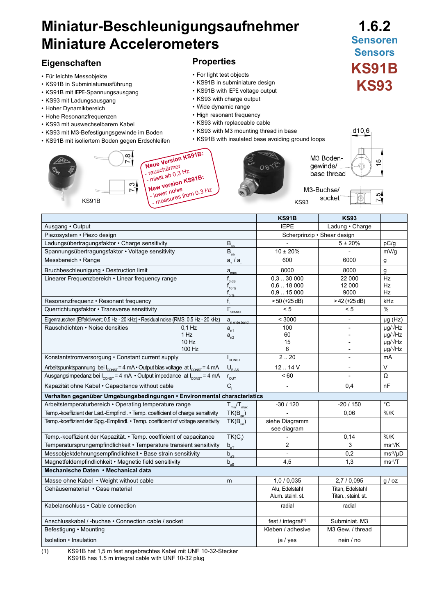## **Miniatur-Beschleunigungsaufnehmer Miniature Accelerometers**

### **Eigenschaften**

- Für leichte Messobjekte
- KS91B in Subminiaturausführung
- KS91B mit IEPE-Spannungsausgang
- KS93 mit Ladungsausgang
- Hoher Dynamikbereich
- Hohe Resonanzfrequenzen
- KS93 mit auswechselbarem Kabel • KS93 mit M3-Befestigungsgewinde im Boden
- KS91B mit isoliertem Boden gegen Erdschleifen



- For light test objects
- KS91B in subminiature design
- KS91B with IEPE voltage output
- KS93 with charge output
- Wide dynamic range
- High resonant frequency
- KS93 with replaceable cable
- KS93 with M3 mounting thread in base
- KS91B with insulated base avoiding ground loops



|                                                                                                                                  |                                          | KS91B                               | <b>KS93</b>                             |                                       |  |
|----------------------------------------------------------------------------------------------------------------------------------|------------------------------------------|-------------------------------------|-----------------------------------------|---------------------------------------|--|
| Ausgang · Output                                                                                                                 |                                          | <b>IEPE</b>                         | Ladung · Charge                         |                                       |  |
| Piezosystem • Piezo design                                                                                                       |                                          | Scherprinzip • Shear design         |                                         |                                       |  |
| Ladungsübertragungsfaktor · Charge sensitivity                                                                                   | $B_{qa}$                                 |                                     | 5 ± 20%                                 | pC/g                                  |  |
| Spannungsübertragungsfaktor • Voltage sensitivity                                                                                | $B_{ua}$                                 | $10 \pm 20\%$                       |                                         | mV/g                                  |  |
| Messbereich • Range                                                                                                              | $a_{\perp}/a$                            | 600                                 | 6000                                    | g                                     |  |
| Bruchbeschleunigung · Destruction limit                                                                                          | $a_{\text{max}}$                         | 8000                                | 8000                                    | g                                     |  |
| Linearer Frequenzbereich • Linear frequency range                                                                                | $f_{3 dB}$                               | 0.330000                            | 22 000                                  | Hz                                    |  |
|                                                                                                                                  | $\mathsf{r}_{\scriptscriptstyle 10\,\%}$ | 0.618000                            | 12 000                                  | Hz                                    |  |
|                                                                                                                                  | $\mathsf{r}_{\mathsf{s}\,\mathsf{w}}$    | 0,915000                            | 9000                                    | Hz                                    |  |
| Resonanzfrequenz • Resonant frequency                                                                                            | $f_{\cdot}$                              | $>50$ (+25 dB)                      | $>42$ (+25 dB)                          | kHz                                   |  |
| Querrichtungsfaktor • Transverse sensitivity                                                                                     | $\Gamma_{\rm 90MAX}$                     | < 5                                 | < 5                                     | $\%$                                  |  |
| Eigenrauschen (Effektivwert; 0,5 Hz - 20 kHz) · Residual noise (RMS; 0.5 Hz - 20 kHz)                                            | $a_{n \text{ wide band}}$                | < 3000                              | $\overline{\phantom{a}}$                | $\mu$ g (Hz)                          |  |
| Rauschdichten • Noise densities<br>$0.1$ Hz                                                                                      | $a_{n1}$                                 | 100                                 |                                         | $\mu$ g/ $\sqrt{\text{Hz}}$           |  |
| 1 Hz                                                                                                                             | $a_{n2}$                                 | 60                                  |                                         | $\mu$ g/ $\sqrt{\text{Hz}}$           |  |
| $10$ Hz<br>100 Hz                                                                                                                |                                          | 15<br>6                             |                                         | µg/√Hz<br>$\mu$ g/ $\sqrt{\text{Hz}}$ |  |
|                                                                                                                                  |                                          |                                     |                                         |                                       |  |
| Konstantstromversorgung • Constant current supply                                                                                | $I_{\text{CONST}}$                       | 2.20                                |                                         | <b>mA</b>                             |  |
| Arbeitspunktspannung bei $I_{\text{COMST}} = 4 \text{ mA} \cdot \text{Output}$ bias voltage at $I_{\text{CONST}} = 4 \text{ mA}$ | $\mathsf{U}_{\texttt{BIAS}}$             | 12.14V                              | $\overline{\phantom{a}}$                | $\mathsf{V}$                          |  |
| Ausgangsimpedanz bei $I_{\text{const}}$ = 4 mA $\cdot$ Output impedance at $I_{\text{const}}$ = 4 mA                             | $r_{\text{out}}$                         | < 60                                |                                         | Ω                                     |  |
| Kapazität ohne Kabel · Capacitance without cable                                                                                 | $C_{1}$                                  |                                     | 0.4                                     | nF                                    |  |
| Verhalten gegenüber Umgebungsbedingungen · Environmental characteristics                                                         |                                          |                                     |                                         |                                       |  |
| Arbeitstemperaturbereich • Operating temperature range                                                                           | $T_{min}/T_{max}$                        | $-30/120$                           | $-20/150$                               | $^{\circ}$ C                          |  |
| Temp.-koeffizient der Lad.-Empfindl. • Temp. coefficient of charge sensitivity                                                   | $TK(B_{\text{na}})$                      |                                     | 0,06                                    | $%$ /K                                |  |
| Temp.-koeffizient der Spg.-Empfindl. • Temp. coefficient of voltage sensitivity                                                  | $TK(B_{\text{ua}})$                      | siehe Diagramm<br>see diagram       |                                         |                                       |  |
| Temp.-koeffizient der Kapazität. • Temp. coefficient of capacitance                                                              | $TK(C_i)$                                | $\overline{\phantom{a}}$            | 0,14                                    | $%$ /K                                |  |
| Temperatursprungempfindlichkeit · Temperature transient sensitivity                                                              | $b_{\text{at}}$                          | 2                                   | 3                                       | $ms-2/K$                              |  |
| Messobjektdehnungsempfindlichkeit · Base strain sensitivity                                                                      | $b_{as}$                                 | $\overline{\phantom{a}}$            | 0,2                                     | $ms^{-2}/\mu D$                       |  |
| Magnetfeldempfindlichkeit • Magnetic field sensitivity                                                                           | $b_{ab}$                                 | 4,5                                 | 1,3                                     | $ms-2/T$                              |  |
| Mechanische Daten • Mechanical data                                                                                              |                                          |                                     |                                         |                                       |  |
| Masse ohne Kabel • Weight without cable                                                                                          | m                                        | 1,0/0,035                           | 2,7/0,095                               | g / oz                                |  |
| Gehäusematerial • Case material                                                                                                  |                                          | Alu, Edelstahl<br>Alum. stainl. st. | Titan, Edelstahl<br>Titan., stainl. st. |                                       |  |
| Kabelanschluss • Cable connection                                                                                                |                                          | radial                              | radial                                  |                                       |  |
| Anschlusskabel / -buchse · Connection cable / socket                                                                             |                                          | fest / integral(1)                  | Subminiat. M3                           |                                       |  |
| Befestigung • Mounting                                                                                                           |                                          | Kleben / adhesive                   | M3 Gew. / thread                        |                                       |  |
| Isolation • Insulation                                                                                                           |                                          | ja / yes                            | nein / no                               |                                       |  |

(1) KS91B hat 1,5 m fest angebrachtes Kabel mit UNF 10-32-Stecker KS91B has 1.5 m integral cable with UNF 10-32 plug

**1.6.2 Sensoren Sensors KS91B KS93**

 $d10,6$